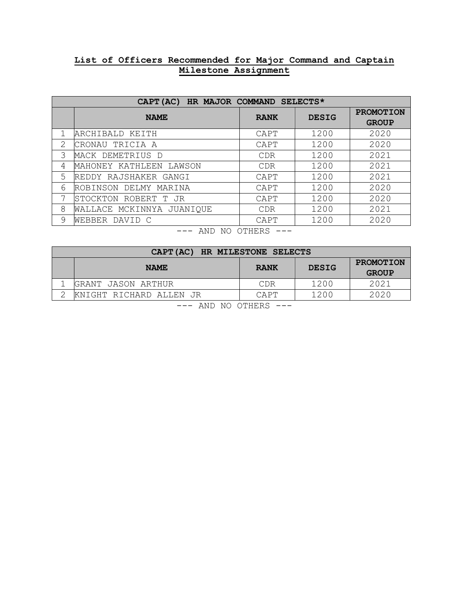## **List of Officers Recommended for Major Command and Captain Milestone Assignment**

| CAPT (AC) HR MAJOR COMMAND SELECTS* |                           |             |              |                                  |
|-------------------------------------|---------------------------|-------------|--------------|----------------------------------|
|                                     | <b>NAME</b>               | <b>RANK</b> | <b>DESIG</b> | <b>PROMOTION</b><br><b>GROUP</b> |
|                                     | ARCHIBALD KEITH           | CAPT        | 1200         | 2020                             |
| 2                                   | CRONAU TRICIA A           | CAPT        | 1200         | 2020                             |
| 3                                   | MACK DEMETRIUS D          | <b>CDR</b>  | 1200         | 2021                             |
| 4                                   | MAHONEY KATHLEEN LAWSON   | <b>CDR</b>  | 1200         | 2021                             |
| 5                                   | REDDY RAJSHAKER GANGI     | CAPT        | 1200         | 2021                             |
| 6                                   | ROBINSON DELMY MARINA     | CAPT        | 1200         | 2020                             |
| 7                                   | ISTOCKTON ROBERT T JR     | CAPT        | 1200         | 2020                             |
| 8                                   | WALLACE MCKINNYA JUANIQUE | <b>CDR</b>  | 1200         | 2021                             |
| 9                                   | WEBBER DAVID C            | CAPT        | 1200         | 2020                             |
| <b>EXID MA AMILDA</b>               |                           |             |              |                                  |

| $\sim$<br>NΟ<br>וסטחו<br>Л<br>U<br>. <i>.</i><br>R.<br>M |
|----------------------------------------------------------|
|----------------------------------------------------------|

| CAPT (AC) HR MILESTONE SELECTS                    |                         |             |              |                           |
|---------------------------------------------------|-------------------------|-------------|--------------|---------------------------|
|                                                   | <b>NAME</b>             | <b>RANK</b> | <b>DESIG</b> | PROMOTION<br><b>GROUP</b> |
|                                                   | GRANT JASON ARTHUR      | CDR         | 1200         | 2021                      |
|                                                   | KNIGHT RICHARD ALLEN JR | CAPT        | 1200         | 2020                      |
| ----<br>$\sim$ $\sim$ $\sim$ $\sim$ $\sim$ $\sim$ |                         |             |              |                           |

<sup>---</sup> AND NO OTHERS ---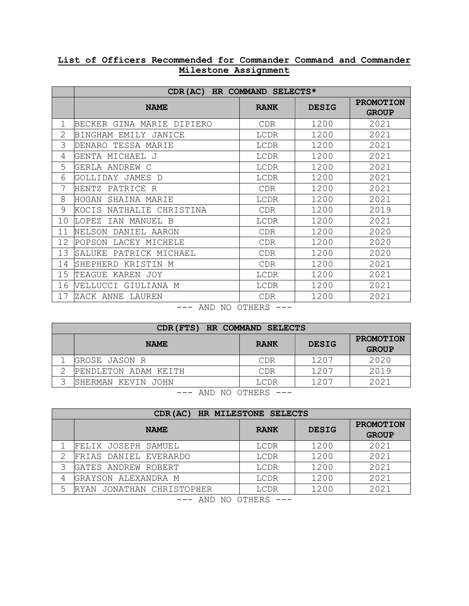## **List of Officers Recommended for Commander Command and Commander Milestone Assignment**

|                    | CDR(AC) HR COMMAND SELECTS*    |             |              |                  |  |
|--------------------|--------------------------------|-------------|--------------|------------------|--|
|                    | <b>NAME</b>                    | <b>RANK</b> | <b>DESIG</b> | <b>PROMOTION</b> |  |
|                    |                                |             |              | <b>GROUP</b>     |  |
| 1                  | BECKER<br>GINA MARIE DIPIERO   | <b>CDR</b>  | 1200         | 2021             |  |
| $\overline{2}$     | BINGHAM EMILY<br>JANICE        | LCDR        | 1200         | 2021             |  |
| 3                  | TESSA MARIE<br>DENARO          | LCDR        | 1200         | 2021             |  |
| 4                  | GENTA MICHAEL J                | LCDR        | 1200         | 2021             |  |
| 5                  | GERLA ANDREW C                 | LCDR        | 1200         | 2021             |  |
| 6                  | GOLLIDAY JAMES<br>$\Box$       | LCDR        | 1200         | 2021             |  |
| 7                  | HENTZ<br>PATRICE R             | <b>CDR</b>  | 1200         | 2021             |  |
| 8                  | HOGAN<br>SHAINA MARIE          | LCDR        | 1200         | 2021             |  |
| 9                  | KOCIS<br>NATHALIE<br>CHRISTINA | <b>CDR</b>  | 1200         | 2019             |  |
| 10                 | LOPEZ<br>IAN MANUEL B          | LCDR        | 1200         | 2021             |  |
| 11                 | NELSON<br>DANIEL AARON         | <b>CDR</b>  | 1200         | 2020             |  |
| 12                 | POPSON<br>LACEY MICHELE        | <b>CDR</b>  | 1200         | 2020             |  |
| 13                 | PATRICK MICHAEL<br>SALUKE      | <b>CDR</b>  | 1200         | 2020             |  |
| 14                 | KRISTIN M<br>SHEPHERD          | <b>CDR</b>  | 1200         | 2021             |  |
| 15                 | TEAGUE<br>KAREN<br>JOY         | LCDR        | 1200         | 2021             |  |
| 16                 | VELLUCCI GIULIANA M            | LCDR        | 1200         | 2021             |  |
| 17                 | ZACK ANNE LAUREN               | <b>CDR</b>  | 1200         | 2021             |  |
| מסים וחים מזו חזות |                                |             |              |                  |  |

## - AND NO OTHERS

| CDR (FTS) HR COMMAND SELECTS |                      |             |              |                           |
|------------------------------|----------------------|-------------|--------------|---------------------------|
|                              | <b>NAME</b>          | <b>RANK</b> | <b>DESIG</b> | PROMOTION<br><b>GROUP</b> |
|                              | GROSE JASON R        | <b>CDR</b>  | 1207         | 2020                      |
| ⌒                            | PENDLETON ADAM KEITH | CDR         | 1207         | 2019                      |
|                              | SHERMAN KEVIN JOHN   | LCDR        | 1207         | 2021                      |
| $\overline{\phantom{a}}$     |                      |             |              |                           |

--- AND NO OTHERS ---

| CDR(AC) HR MILESTONE SELECTS |                           |             |              |                                  |
|------------------------------|---------------------------|-------------|--------------|----------------------------------|
|                              | <b>NAME</b>               | <b>RANK</b> | <b>DESIG</b> | <b>PROMOTION</b><br><b>GROUP</b> |
|                              | FELIX JOSEPH SAMUEL       | LCDR        | 1200         | 2021                             |
| 2                            | FRIAS DANIEL EVERARDO     | LCDR        | 1200         | 2021                             |
|                              | GATES ANDREW ROBERT       | LCDR        | 1200         | 2021                             |
| 4                            | GRAYSON ALEXANDRA M       | LCDR        | 1200         | 2021                             |
|                              | RYAN JONATHAN CHRISTOPHER | LCDR        | 1200         | 2021                             |
| $\overline{\phantom{a}}$     |                           |             |              |                                  |

--- AND NO OTHERS ---